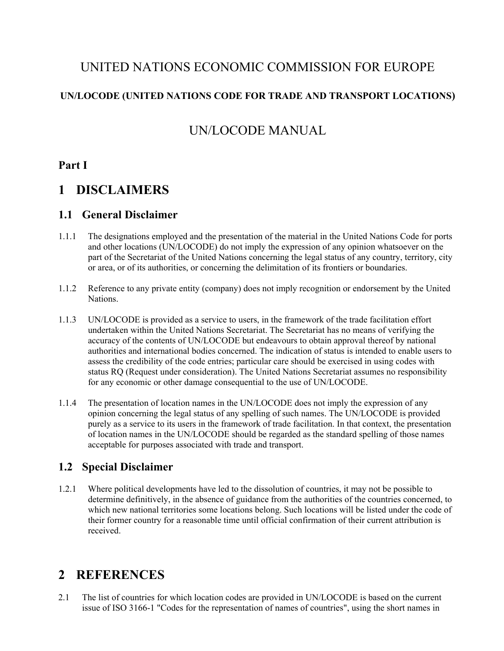## UNITED NATIONS ECONOMIC COMMISSION FOR EUROPE

#### **UN/LOCODE (UNITED NATIONS CODE FOR TRADE AND TRANSPORT LOCATIONS)**

## UN/LOCODE MANUAL

#### **Part I**

## **1 DISCLAIMERS**

#### **1.1 General Disclaimer**

- 1.1.1 The designations employed and the presentation of the material in the United Nations Code for ports and other locations (UN/LOCODE) do not imply the expression of any opinion whatsoever on the part of the Secretariat of the United Nations concerning the legal status of any country, territory, city or area, or of its authorities, or concerning the delimitation of its frontiers or boundaries.
- 1.1.2 Reference to any private entity (company) does not imply recognition or endorsement by the United Nations.
- 1.1.3 UN/LOCODE is provided as a service to users, in the framework of the trade facilitation effort undertaken within the United Nations Secretariat. The Secretariat has no means of verifying the accuracy of the contents of UN/LOCODE but endeavours to obtain approval thereof by national authorities and international bodies concerned. The indication of status is intended to enable users to assess the credibility of the code entries; particular care should be exercised in using codes with status RQ (Request under consideration). The United Nations Secretariat assumes no responsibility for any economic or other damage consequential to the use of UN/LOCODE.
- 1.1.4 The presentation of location names in the UN/LOCODE does not imply the expression of any opinion concerning the legal status of any spelling of such names. The UN/LOCODE is provided purely as a service to its users in the framework of trade facilitation. In that context, the presentation of location names in the UN/LOCODE should be regarded as the standard spelling of those names acceptable for purposes associated with trade and transport.

#### **1.2 Special Disclaimer**

1.2.1 Where political developments have led to the dissolution of countries, it may not be possible to determine definitively, in the absence of guidance from the authorities of the countries concerned, to which new national territories some locations belong. Such locations will be listed under the code of their former country for a reasonable time until official confirmation of their current attribution is received.

## **2 REFERENCES**

2.1 The list of countries for which location codes are provided in UN/LOCODE is based on the current issue of ISO 3166-1 "Codes for the representation of names of countries", using the short names in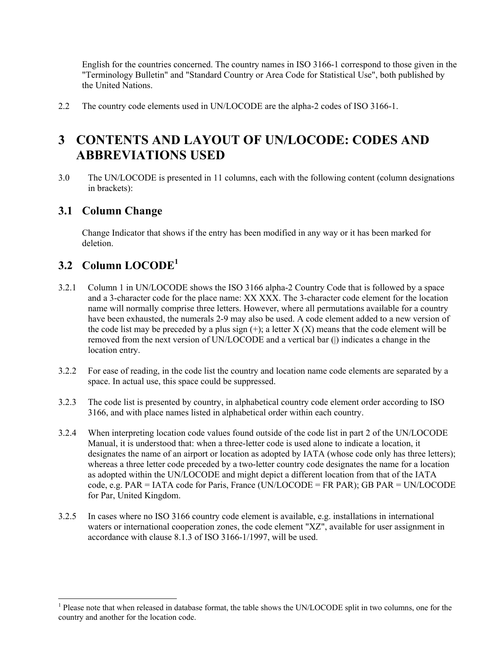English for the countries concerned. The country names in ISO 3166-1 correspond to those given in the "Terminology Bulletin" and "Standard Country or Area Code for Statistical Use", both published by the United Nations.

2.2 The country code elements used in UN/LOCODE are the alpha-2 codes of ISO 3166-1.

## **3 CONTENTS AND LAYOUT OF UN/LOCODE: CODES AND ABBREVIATIONS USED**

3.0 The UN/LOCODE is presented in 11 columns, each with the following content (column designations in brackets):

#### **3.1 Column Change**

Change Indicator that shows if the entry has been modified in any way or it has been marked for deletion.

## **3.2 Column LOCODE<sup>1</sup>**

l

- 3.2.1 Column 1 in UN/LOCODE shows the ISO 3166 alpha-2 Country Code that is followed by a space and a 3-character code for the place name: XX XXX. The 3-character code element for the location name will normally comprise three letters. However, where all permutations available for a country have been exhausted, the numerals 2-9 may also be used. A code element added to a new version of the code list may be preceded by a plus sign  $(+)$ ; a letter X  $(X)$  means that the code element will be removed from the next version of UN/LOCODE and a vertical bar (|) indicates a change in the location entry.
- 3.2.2 For ease of reading, in the code list the country and location name code elements are separated by a space. In actual use, this space could be suppressed.
- 3.2.3 The code list is presented by country, in alphabetical country code element order according to ISO 3166, and with place names listed in alphabetical order within each country.
- 3.2.4 When interpreting location code values found outside of the code list in part 2 of the UN/LOCODE Manual, it is understood that: when a three-letter code is used alone to indicate a location, it designates the name of an airport or location as adopted by IATA (whose code only has three letters); whereas a three letter code preceded by a two-letter country code designates the name for a location as adopted within the UN/LOCODE and might depict a different location from that of the IATA code, e.g. PAR = IATA code for Paris, France (UN/LOCODE = FR PAR); GB PAR = UN/LOCODE for Par, United Kingdom.
- 3.2.5 In cases where no ISO 3166 country code element is available, e.g. installations in international waters or international cooperation zones, the code element "XZ", available for user assignment in accordance with clause 8.1.3 of ISO 3166-1/1997, will be used.

<sup>&</sup>lt;sup>1</sup> Please note that when released in database format, the table shows the UN/LOCODE split in two columns, one for the country and another for the location code.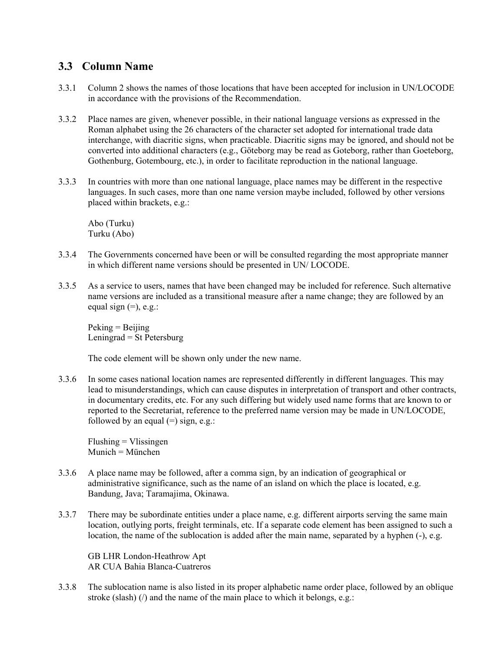#### **3.3 Column Name**

- 3.3.1 Column 2 shows the names of those locations that have been accepted for inclusion in UN/LOCODE in accordance with the provisions of the Recommendation.
- 3.3.2 Place names are given, whenever possible, in their national language versions as expressed in the Roman alphabet using the 26 characters of the character set adopted for international trade data interchange, with diacritic signs, when practicable. Diacritic signs may be ignored, and should not be converted into additional characters (e.g., Göteborg may be read as Goteborg, rather than Goeteborg, Gothenburg, Gotembourg, etc.), in order to facilitate reproduction in the national language.
- 3.3.3 In countries with more than one national language, place names may be different in the respective languages. In such cases, more than one name version maybe included, followed by other versions placed within brackets, e.g.:

Abo (Turku) Turku (Abo)

- 3.3.4 The Governments concerned have been or will be consulted regarding the most appropriate manner in which different name versions should be presented in UN/ LOCODE.
- 3.3.5 As a service to users, names that have been changed may be included for reference. Such alternative name versions are included as a transitional measure after a name change; they are followed by an equal sign  $(=)$ , e.g.:

 $Peking = Beijing$ Leningrad = St Petersburg

The code element will be shown only under the new name.

3.3.6 In some cases national location names are represented differently in different languages. This may lead to misunderstandings, which can cause disputes in interpretation of transport and other contracts, in documentary credits, etc. For any such differing but widely used name forms that are known to or reported to the Secretariat, reference to the preferred name version may be made in UN/LOCODE, followed by an equal  $(=)$  sign, e.g.:

Flushing = Vlissingen Munich = München

- 3.3.6 A place name may be followed, after a comma sign, by an indication of geographical or administrative significance, such as the name of an island on which the place is located, e.g. Bandung, Java; Taramajima, Okinawa.
- 3.3.7 There may be subordinate entities under a place name, e.g. different airports serving the same main location, outlying ports, freight terminals, etc. If a separate code element has been assigned to such a location, the name of the sublocation is added after the main name, separated by a hyphen (-), e.g.

GB LHR London-Heathrow Apt AR CUA Bahia Blanca-Cuatreros

3.3.8 The sublocation name is also listed in its proper alphabetic name order place, followed by an oblique stroke (slash) (*/*) and the name of the main place to which it belongs, e.g.: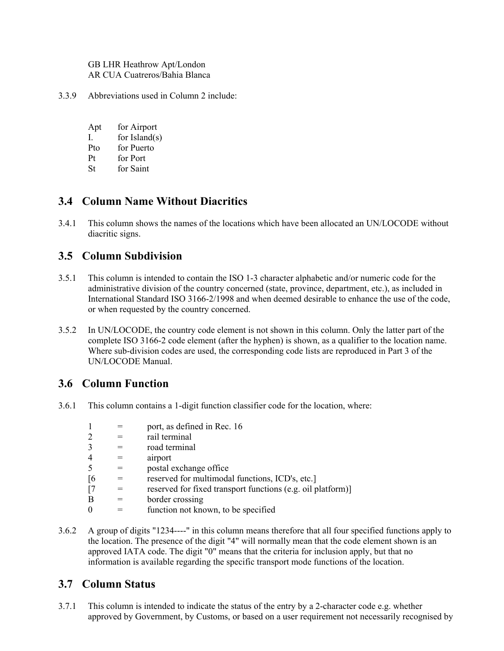GB LHR Heathrow Apt/London AR CUA Cuatreros/Bahia Blanca

- 3.3.9 Abbreviations used in Column 2 include:
	- Apt for Airport
	- I. for Island(s)
	- Pto for Puerto
	- Pt for Port
	- St for Saint

#### **3.4 Column Name Without Diacritics**

3.4.1 This column shows the names of the locations which have been allocated an UN/LOCODE without diacritic signs.

#### **3.5 Column Subdivision**

- 3.5.1 This column is intended to contain the ISO 1-3 character alphabetic and/or numeric code for the administrative division of the country concerned (state, province, department, etc.), as included in International Standard ISO 3166-2/1998 and when deemed desirable to enhance the use of the code, or when requested by the country concerned.
- 3.5.2 In UN/LOCODE, the country code element is not shown in this column. Only the latter part of the complete ISO 3166-2 code element (after the hyphen) is shown, as a qualifier to the location name. Where sub-division codes are used, the corresponding code lists are reproduced in Part 3 of the UN/LOCODE Manual.

#### **3.6 Column Function**

3.6.1 This column contains a 1-digit function classifier code for the location, where:

|                   | port, as defined in Rec. 16                                 |
|-------------------|-------------------------------------------------------------|
| 2                 | rail terminal                                               |
| 3                 | road terminal                                               |
| $\overline{4}$    | airport                                                     |
| 5                 | postal exchange office                                      |
| $\lceil 6 \rceil$ | reserved for multimodal functions, ICD's, etc.]             |
| $\lceil 7 \rceil$ | reserved for fixed transport functions (e.g. oil platform)] |
| B                 | border crossing                                             |
| $\theta$          | function not known, to be specified                         |

3.6.2 A group of digits "1234----" in this column means therefore that all four specified functions apply to the location. The presence of the digit "4" will normally mean that the code element shown is an approved IATA code. The digit "0" means that the criteria for inclusion apply, but that no information is available regarding the specific transport mode functions of the location.

#### **3.7 Column Status**

3.7.1 This column is intended to indicate the status of the entry by a 2-character code e.g. whether approved by Government, by Customs, or based on a user requirement not necessarily recognised by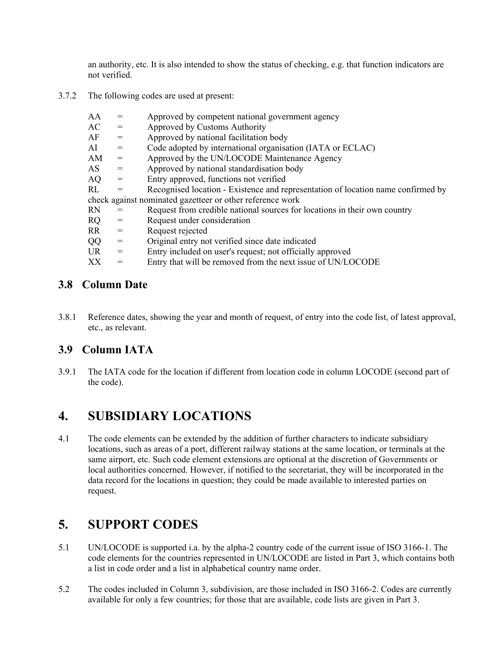an authority, etc. It is also intended to show the status of checking, e.g. that function indicators are not verified.

3.7.2 The following codes are used at present:

| AA | Approved by competent national government agency |
|----|--------------------------------------------------|
|    |                                                  |

- $AC =$  Approved by Customs Authority
- $AF =$  Approved by national facilitation body
- AI = Code adopted by international organisation (IATA or ECLAC)
- AM = Approved by the UN/LOCODE Maintenance Agency
- $AS =$  Approved by national standardisation body
- AQ = Entry approved, functions not verified

RL = Recognised location - Existence and representation of location name confirmed by check against nominated gazetteer or other reference work

- $RN =$  Request from credible national sources for locations in their own country
- RQ = Request under consideration
- RR = Request rejected
- QQ = Original entry not verified since date indicated
- $UR =$  Entry included on user's request; not officially approved
- $XX =$  Entry that will be removed from the next issue of UN/LOCODE

#### **3.8 Column Date**

3.8.1 Reference dates, showing the year and month of request, of entry into the code list, of latest approval, etc., as relevant.

#### **3.9 Column IATA**

3.9.1 The IATA code for the location if different from location code in column LOCODE (second part of the code).

## **4. SUBSIDIARY LOCATIONS**

4.1 The code elements can be extended by the addition of further characters to indicate subsidiary locations, such as areas of a port, different railway stations at the same location, or terminals at the same airport, etc. Such code element extensions are optional at the discretion of Governments or local authorities concerned. However, if notified to the secretariat, they will be incorporated in the data record for the locations in question; they could be made available to interested parties on request.

# **5. SUPPORT CODES**

- 5.1 UN/LOCODE is supported i.a. by the alpha-2 country code of the current issue of ISO 3166-1. The code elements for the countries represented in UN/LOCODE are listed in Part 3, which contains both a list in code order and a list in alphabetical country name order.
- 5.2 The codes included in Column 3, subdivision, are those included in ISO 3166-2. Codes are currently available for only a few countries; for those that are available, code lists are given in Part 3.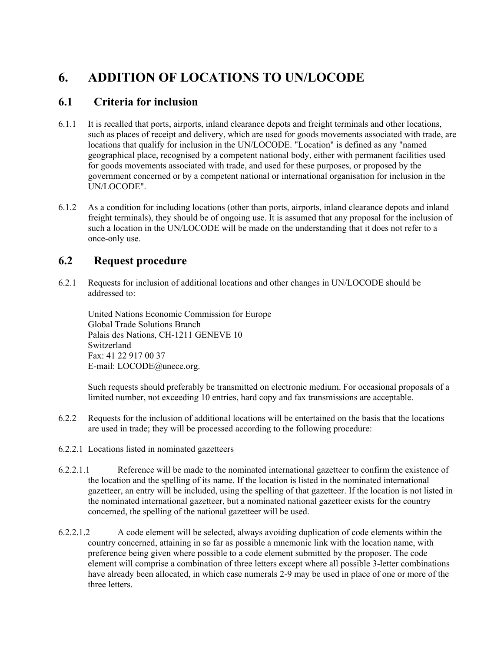# **6. ADDITION OF LOCATIONS TO UN/LOCODE**

#### **6.1 Criteria for inclusion**

- 6.1.1 It is recalled that ports, airports, inland clearance depots and freight terminals and other locations, such as places of receipt and delivery, which are used for goods movements associated with trade, are locations that qualify for inclusion in the UN/LOCODE. "Location" is defined as any "named geographical place, recognised by a competent national body, either with permanent facilities used for goods movements associated with trade, and used for these purposes, or proposed by the government concerned or by a competent national or international organisation for inclusion in the UN/LOCODE".
- 6.1.2 As a condition for including locations (other than ports, airports, inland clearance depots and inland freight terminals), they should be of ongoing use. It is assumed that any proposal for the inclusion of such a location in the UN/LOCODE will be made on the understanding that it does not refer to a once-only use.

## **6.2 Request procedure**

6.2.1 Requests for inclusion of additional locations and other changes in UN/LOCODE should be addressed to:

United Nations Economic Commission for Europe Global Trade Solutions Branch Palais des Nations, CH-1211 GENEVE 10 Switzerland Fax: 41 22 917 00 37 E-mail: LOCODE@unece.org.

Such requests should preferably be transmitted on electronic medium. For occasional proposals of a limited number, not exceeding 10 entries, hard copy and fax transmissions are acceptable.

- 6.2.2 Requests for the inclusion of additional locations will be entertained on the basis that the locations are used in trade; they will be processed according to the following procedure:
- 6.2.2.1 Locations listed in nominated gazetteers
- 6.2.2.1.1 Reference will be made to the nominated international gazetteer to confirm the existence of the location and the spelling of its name. If the location is listed in the nominated international gazetteer, an entry will be included, using the spelling of that gazetteer. If the location is not listed in the nominated international gazetteer, but a nominated national gazetteer exists for the country concerned, the spelling of the national gazetteer will be used.
- 6.2.2.1.2 A code element will be selected, always avoiding duplication of code elements within the country concerned, attaining in so far as possible a mnemonic link with the location name, with preference being given where possible to a code element submitted by the proposer. The code element will comprise a combination of three letters except where all possible 3-letter combinations have already been allocated, in which case numerals 2-9 may be used in place of one or more of the three letters.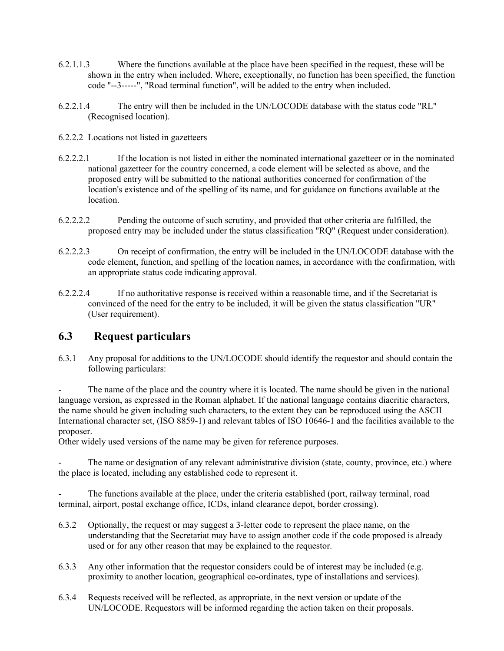- 6.2.1.1.3 Where the functions available at the place have been specified in the request, these will be shown in the entry when included. Where, exceptionally, no function has been specified, the function code "--3-----", "Road terminal function", will be added to the entry when included.
- 6.2.2.1.4 The entry will then be included in the UN/LOCODE database with the status code "RL" (Recognised location).
- 6.2.2.2 Locations not listed in gazetteers
- 6.2.2.2.1 If the location is not listed in either the nominated international gazetteer or in the nominated national gazetteer for the country concerned, a code element will be selected as above, and the proposed entry will be submitted to the national authorities concerned for confirmation of the location's existence and of the spelling of its name, and for guidance on functions available at the location.
- 6.2.2.2.2 Pending the outcome of such scrutiny, and provided that other criteria are fulfilled, the proposed entry may be included under the status classification "RQ" (Request under consideration).
- 6.2.2.2.3 On receipt of confirmation, the entry will be included in the UN/LOCODE database with the code element, function, and spelling of the location names, in accordance with the confirmation, with an appropriate status code indicating approval.
- 6.2.2.2.4 If no authoritative response is received within a reasonable time, and if the Secretariat is convinced of the need for the entry to be included, it will be given the status classification "UR" (User requirement).

#### **6.3 Request particulars**

6.3.1 Any proposal for additions to the UN/LOCODE should identify the requestor and should contain the following particulars:

The name of the place and the country where it is located. The name should be given in the national language version, as expressed in the Roman alphabet. If the national language contains diacritic characters, the name should be given including such characters, to the extent they can be reproduced using the ASCII International character set, (ISO 8859-1) and relevant tables of ISO 10646-1 and the facilities available to the proposer.

Other widely used versions of the name may be given for reference purposes.

The name or designation of any relevant administrative division (state, county, province, etc.) where the place is located, including any established code to represent it.

The functions available at the place, under the criteria established (port, railway terminal, road terminal, airport, postal exchange office, ICDs, inland clearance depot, border crossing).

- 6.3.2 Optionally, the request or may suggest a 3-letter code to represent the place name, on the understanding that the Secretariat may have to assign another code if the code proposed is already used or for any other reason that may be explained to the requestor.
- 6.3.3 Any other information that the requestor considers could be of interest may be included (e.g. proximity to another location, geographical co-ordinates, type of installations and services).
- 6.3.4 Requests received will be reflected, as appropriate, in the next version or update of the UN/LOCODE. Requestors will be informed regarding the action taken on their proposals.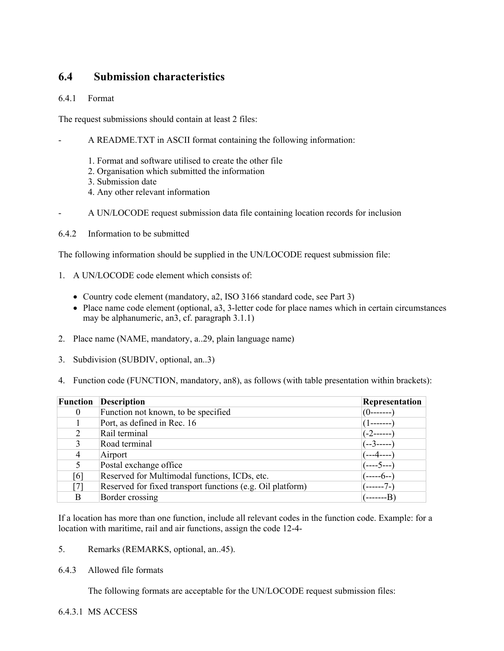#### **6.4 Submission characteristics**

6.4.1 Format

The request submissions should contain at least 2 files:

- A README.TXT in ASCII format containing the following information:
	- 1. Format and software utilised to create the other file
	- 2. Organisation which submitted the information
	- 3. Submission date
	- 4. Any other relevant information
- A UN/LOCODE request submission data file containing location records for inclusion
- 6.4.2 Information to be submitted

The following information should be supplied in the UN/LOCODE request submission file:

- 1. A UN/LOCODE code element which consists of:
	- Country code element (mandatory, a2, ISO 3166 standard code, see Part 3)
	- Place name code element (optional, a3, 3-letter code for place names which in certain circumstances may be alphanumeric, an3, cf. paragraph 3.1.1)
- 2. Place name (NAME, mandatory, a..29, plain language name)
- 3. Subdivision (SUBDIV, optional, an..3)
- 4. Function code (FUNCTION, mandatory, an8), as follows (with table presentation within brackets):

| <b>Function</b> | <b>Description</b>                                         | Representation         |
|-----------------|------------------------------------------------------------|------------------------|
| $\overline{0}$  | Function not known, to be specified                        | $(0-----$              |
|                 | Port, as defined in Rec. 16                                |                        |
|                 | Rail terminal                                              | (-2------              |
| 3               | Road terminal                                              | (--3-----              |
| 4               | Airport                                                    | ---4----               |
|                 | Postal exchange office                                     | (----5--- <sup>-</sup> |
| [6]             | Reserved for Multimodal functions, ICDs, etc.              | ----6--`               |
| [7]             | Reserved for fixed transport functions (e.g. Oil platform) | ----7-1                |
| B               | Border crossing                                            |                        |

If a location has more than one function, include all relevant codes in the function code. Example: for a location with maritime, rail and air functions, assign the code 12-4-

- 5. Remarks (REMARKS, optional, an..45).
- 6.4.3 Allowed file formats

The following formats are acceptable for the UN/LOCODE request submission files:

6.4.3.1 MS ACCESS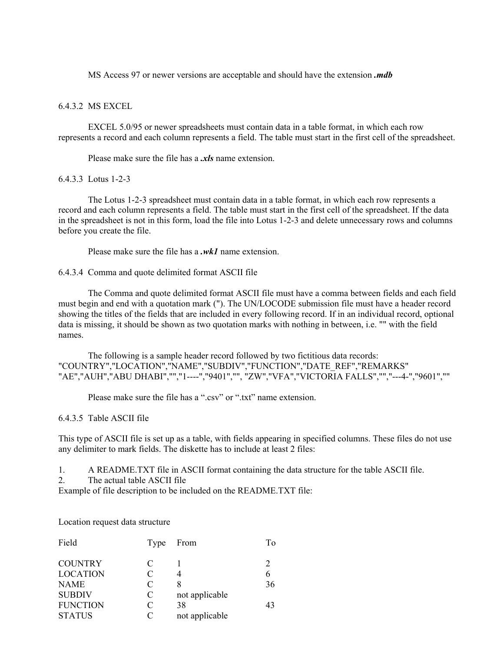MS Access 97 or newer versions are acceptable and should have the extension *.mdb*

#### 6.4.3.2 MS EXCEL

EXCEL 5.0/95 or newer spreadsheets must contain data in a table format, in which each row represents a record and each column represents a field. The table must start in the first cell of the spreadsheet.

Please make sure the file has a *.xls* name extension.

#### 6.4.3.3 Lotus 1-2-3

The Lotus 1-2-3 spreadsheet must contain data in a table format, in which each row represents a record and each column represents a field. The table must start in the first cell of the spreadsheet. If the data in the spreadsheet is not in this form, load the file into Lotus 1-2-3 and delete unnecessary rows and columns before you create the file.

Please make sure the file has a *.wk1* name extension.

6.4.3.4 Comma and quote delimited format ASCII file

The Comma and quote delimited format ASCII file must have a comma between fields and each field must begin and end with a quotation mark ("). The UN/LOCODE submission file must have a header record showing the titles of the fields that are included in every following record. If in an individual record, optional data is missing, it should be shown as two quotation marks with nothing in between, i.e. "" with the field names.

The following is a sample header record followed by two fictitious data records: "COUNTRY","LOCATION","NAME","SUBDIV","FUNCTION","DATE\_REF","REMARKS" "AE","AUH","ABU DHABI","","1----","9401","", "ZW","VFA","VICTORIA FALLS","","---4-","9601",""

Please make sure the file has a ".csv" or ".txt" name extension.

6.4.3.5 Table ASCII file

This type of ASCII file is set up as a table, with fields appearing in specified columns. These files do not use any delimiter to mark fields. The diskette has to include at least 2 files:

1. A README.TXT file in ASCII format containing the data structure for the table ASCII file.

2. The actual table ASCII file

Example of file description to be included on the README.TXT file:

Location request data structure

| Field           | Type | From           | Tо |
|-----------------|------|----------------|----|
| <b>COUNTRY</b>  | C    |                |    |
| <b>LOCATION</b> | C    |                |    |
| <b>NAME</b>     | C    | 8              | 36 |
| <b>SUBDIV</b>   | C    | not applicable |    |
| <b>FUNCTION</b> | C    | 38             | 43 |
| <b>STATUS</b>   | C    | not applicable |    |